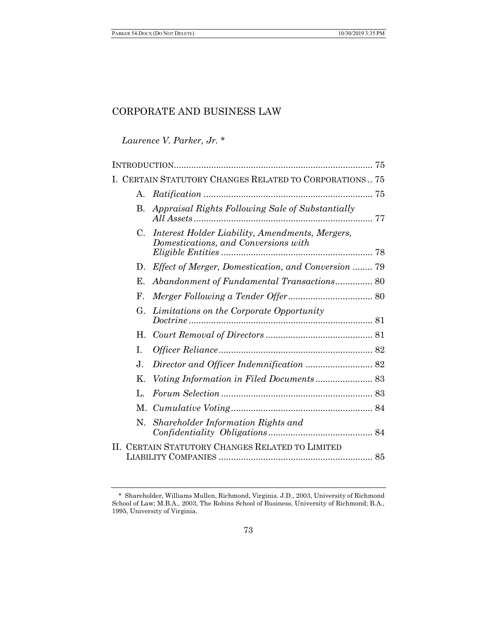# *Laurence V. Parker, Jr.* \*

|    |             | I. CERTAIN STATUTORY CHANGES RELATED TO CORPORATIONS 75                                 |  |
|----|-------------|-----------------------------------------------------------------------------------------|--|
|    | A.          |                                                                                         |  |
|    | В.          | Appraisal Rights Following Sale of Substantially                                        |  |
|    | $C_{\cdot}$ | Interest Holder Liability, Amendments, Mergers,<br>Domestications, and Conversions with |  |
|    | $D_{\tau}$  | Effect of Merger, Domestication, and Conversion  79                                     |  |
|    | Е.          | Abandonment of Fundamental Transactions 80                                              |  |
|    | ${\bf F}$ . |                                                                                         |  |
|    | G.          | Limitations on the Corporate Opportunity                                                |  |
|    | Н.          |                                                                                         |  |
|    | L           |                                                                                         |  |
|    | J.          |                                                                                         |  |
|    | $K_{\cdot}$ |                                                                                         |  |
|    | L.          |                                                                                         |  |
|    |             |                                                                                         |  |
|    | N.          | Shareholder Information Rights and                                                      |  |
| H. |             | CERTAIN STATUTORY CHANGES RELATED TO LIMITED                                            |  |

<sup>\*</sup> Shareholder, Williams Mullen, Richmond, Virginia. J.D., 2003, University of Richmond School of Law; M.B.A., 2003, The Robins School of Business, University of Richmond; B.A., 1995, University of Virginia.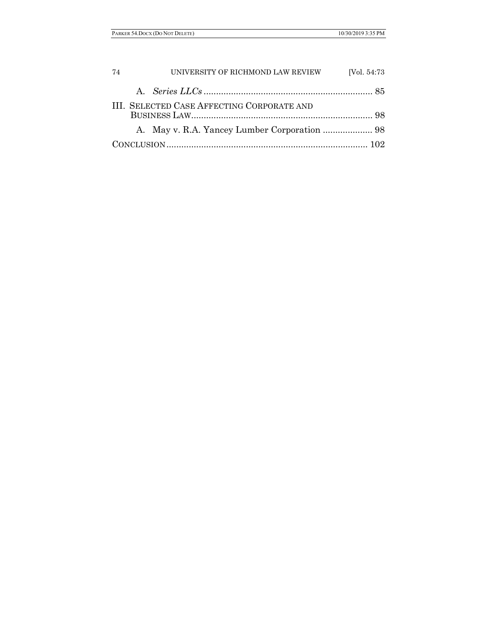| -74 | UNIVERSITY OF RICHMOND LAW REVIEW          | [Vol. 54:73] |
|-----|--------------------------------------------|--------------|
|     |                                            |              |
|     | III. SELECTED CASE AFFECTING CORPORATE AND |              |
|     |                                            |              |
|     |                                            |              |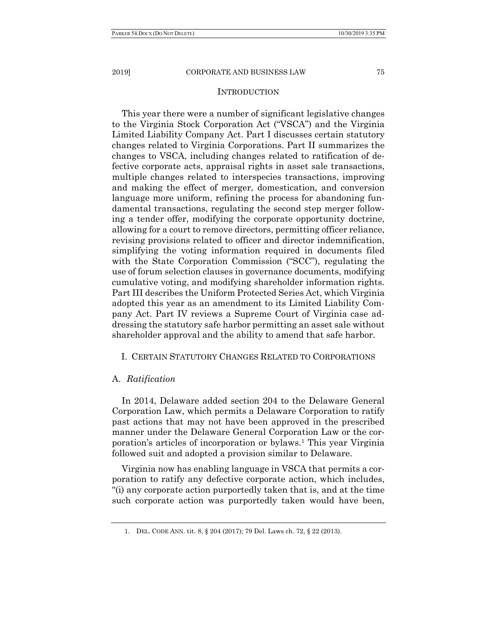#### INTRODUCTION

This year there were a number of significant legislative changes to the Virginia Stock Corporation Act ("VSCA") and the Virginia Limited Liability Company Act. Part I discusses certain statutory changes related to Virginia Corporations. Part II summarizes the changes to VSCA, including changes related to ratification of defective corporate acts, appraisal rights in asset sale transactions, multiple changes related to interspecies transactions, improving and making the effect of merger, domestication, and conversion language more uniform, refining the process for abandoning fundamental transactions, regulating the second step merger following a tender offer, modifying the corporate opportunity doctrine, allowing for a court to remove directors, permitting officer reliance, revising provisions related to officer and director indemnification, simplifying the voting information required in documents filed with the State Corporation Commission ("SCC"), regulating the use of forum selection clauses in governance documents, modifying cumulative voting, and modifying shareholder information rights. Part III describes the Uniform Protected Series Act, which Virginia adopted this year as an amendment to its Limited Liability Company Act. Part IV reviews a Supreme Court of Virginia case addressing the statutory safe harbor permitting an asset sale without shareholder approval and the ability to amend that safe harbor.

## I. CERTAIN STATUTORY CHANGES RELATED TO CORPORATIONS

## A. *Ratification*

In 2014, Delaware added section 204 to the Delaware General Corporation Law, which permits a Delaware Corporation to ratify past actions that may not have been approved in the prescribed manner under the Delaware General Corporation Law or the corporation's articles of incorporation or bylaws.1 This year Virginia followed suit and adopted a provision similar to Delaware.

Virginia now has enabling language in VSCA that permits a corporation to ratify any defective corporate action, which includes, "(i) any corporate action purportedly taken that is, and at the time such corporate action was purportedly taken would have been,

 <sup>1.</sup> DEL. CODE ANN. tit. 8, § 204 (2017); 79 Del. Laws ch. 72, § 22 (2013).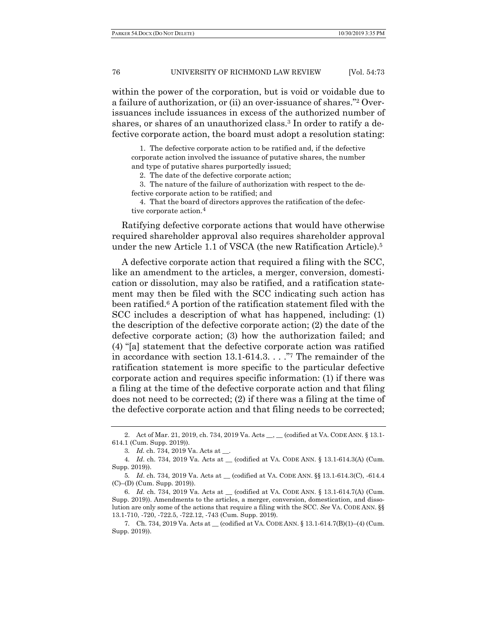within the power of the corporation, but is void or voidable due to a failure of authorization, or (ii) an over-issuance of shares."2 Overissuances include issuances in excess of the authorized number of shares, or shares of an unauthorized class.<sup>3</sup> In order to ratify a defective corporate action, the board must adopt a resolution stating:

 1. The defective corporate action to be ratified and, if the defective corporate action involved the issuance of putative shares, the number and type of putative shares purportedly issued;

2. The date of the defective corporate action;

 3. The nature of the failure of authorization with respect to the defective corporate action to be ratified; and

 4. That the board of directors approves the ratification of the defective corporate action.<sup>4</sup>

Ratifying defective corporate actions that would have otherwise required shareholder approval also requires shareholder approval under the new Article 1.1 of VSCA (the new Ratification Article).5

A defective corporate action that required a filing with the SCC, like an amendment to the articles, a merger, conversion, domestication or dissolution, may also be ratified, and a ratification statement may then be filed with the SCC indicating such action has been ratified.6 A portion of the ratification statement filed with the SCC includes a description of what has happened, including: (1) the description of the defective corporate action; (2) the date of the defective corporate action; (3) how the authorization failed; and (4) "[a] statement that the defective corporate action was ratified in accordance with section 13.1-614.3. . . ."7 The remainder of the ratification statement is more specific to the particular defective corporate action and requires specific information: (1) if there was a filing at the time of the defective corporate action and that filing does not need to be corrected; (2) if there was a filing at the time of the defective corporate action and that filing needs to be corrected;

<sup>2.</sup> Act of Mar. 21, 2019, ch. 734, 2019 Va. Acts \_\_, \_\_ (codified at VA. CODE ANN. § 13.1-614.1 (Cum. Supp. 2019)).

<sup>3</sup>*. Id.* ch. 734, 2019 Va. Acts at \_\_.

<sup>4</sup>*. Id*. ch. 734, 2019 Va. Acts at \_\_ (codified at VA. CODE ANN. § 13.1-614.3(A) (Cum. Supp. 2019)).

<sup>5</sup>*. Id*. ch. 734, 2019 Va. Acts at \_\_ (codified at VA. CODE ANN. §§ 13.1-614.3(C), -614.4 (C)–(D) (Cum. Supp. 2019)).

 <sup>6.</sup> *Id.* ch. 734, 2019 Va. Acts at \_\_ (codified at VA. CODE ANN. § 13.1-614.7(A) (Cum. Supp. 2019)). Amendments to the articles, a merger, conversion, domestication, and dissolution are only some of the actions that require a filing with the SCC. *See* VA. CODE ANN. §§ 13.1-710, -720, -722.5, -722.12, -743 (Cum. Supp. 2019).

<sup>7</sup>*.* Ch. 734, 2019 Va. Acts at \_\_ (codified at VA. CODE ANN. § 13.1-614.7(B)(1)–(4) (Cum. Supp. 2019)).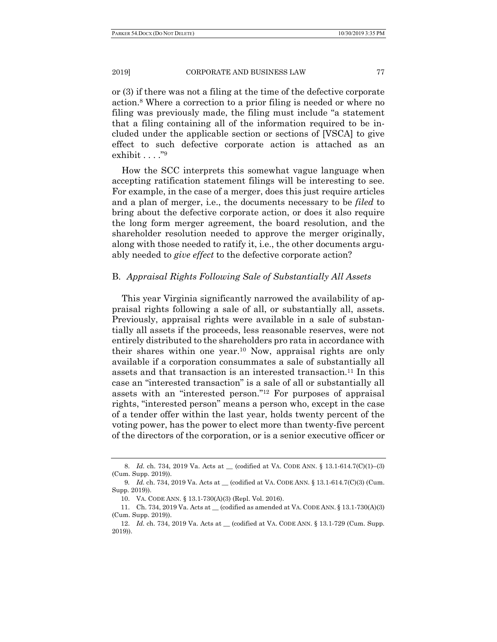or (3) if there was not a filing at the time of the defective corporate action.8 Where a correction to a prior filing is needed or where no filing was previously made, the filing must include "a statement that a filing containing all of the information required to be included under the applicable section or sections of [VSCA] to give effect to such defective corporate action is attached as an exhibit . . . . "9

How the SCC interprets this somewhat vague language when accepting ratification statement filings will be interesting to see. For example, in the case of a merger, does this just require articles and a plan of merger, i.e., the documents necessary to be *filed* to bring about the defective corporate action, or does it also require the long form merger agreement, the board resolution, and the shareholder resolution needed to approve the merger originally, along with those needed to ratify it, i.e., the other documents arguably needed to *give effect* to the defective corporate action?

## B. *Appraisal Rights Following Sale of Substantially All Assets*

This year Virginia significantly narrowed the availability of appraisal rights following a sale of all, or substantially all, assets. Previously, appraisal rights were available in a sale of substantially all assets if the proceeds, less reasonable reserves, were not entirely distributed to the shareholders pro rata in accordance with their shares within one year.10 Now, appraisal rights are only available if a corporation consummates a sale of substantially all assets and that transaction is an interested transaction.11 In this case an "interested transaction" is a sale of all or substantially all assets with an "interested person."12 For purposes of appraisal rights, "interested person" means a person who, except in the case of a tender offer within the last year, holds twenty percent of the voting power, has the power to elect more than twenty-five percent of the directors of the corporation, or is a senior executive officer or

<sup>8.</sup> *Id.* ch. 734, 2019 Va. Acts at \_\_ (codified at VA. CODE ANN. § 13.1-614.7(C)(1)–(3) (Cum. Supp. 2019)).

<sup>9</sup>*. Id.* ch. 734, 2019 Va. Acts at \_\_ (codified at VA. CODE ANN. § 13.1-614.7(C)(3) (Cum. Supp. 2019)).

 <sup>10.</sup> VA. CODE ANN. § 13.1-730(A)(3) (Repl. Vol. 2016).

 <sup>11.</sup> Ch. 734, 2019 Va. Acts at \_\_ (codified as amended at VA. CODE ANN. § 13.1-730(A)(3) (Cum. Supp. 2019)).

 <sup>12.</sup> *Id.* ch. 734, 2019 Va. Acts at \_\_ (codified at VA. CODE ANN. § 13.1-729 (Cum. Supp. 2019)).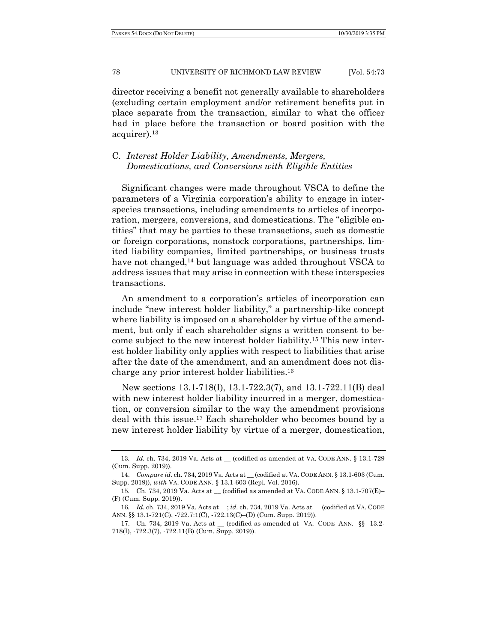director receiving a benefit not generally available to shareholders (excluding certain employment and/or retirement benefits put in place separate from the transaction, similar to what the officer had in place before the transaction or board position with the acquirer).13

## C. *Interest Holder Liability, Amendments, Mergers, Domestications, and Conversions with Eligible Entities*

Significant changes were made throughout VSCA to define the parameters of a Virginia corporation's ability to engage in interspecies transactions, including amendments to articles of incorporation, mergers, conversions, and domestications. The "eligible entities" that may be parties to these transactions, such as domestic or foreign corporations, nonstock corporations, partnerships, limited liability companies, limited partnerships, or business trusts have not changed,<sup>14</sup> but language was added throughout VSCA to address issues that may arise in connection with these interspecies transactions.

An amendment to a corporation's articles of incorporation can include "new interest holder liability," a partnership-like concept where liability is imposed on a shareholder by virtue of the amendment, but only if each shareholder signs a written consent to become subject to the new interest holder liability.15 This new interest holder liability only applies with respect to liabilities that arise after the date of the amendment, and an amendment does not discharge any prior interest holder liabilities.16

New sections 13.1-718(I), 13.1-722.3(7), and 13.1-722.11(B) deal with new interest holder liability incurred in a merger, domestication, or conversion similar to the way the amendment provisions deal with this issue.17 Each shareholder who becomes bound by a new interest holder liability by virtue of a merger, domestication,

<sup>13</sup>*. Id.* ch. 734, 2019 Va. Acts at \_\_ (codified as amended at VA. CODE ANN. § 13.1-729 (Cum. Supp. 2019)).

 <sup>14.</sup> *Compare id.* ch. 734, 2019 Va. Acts at \_\_ (codified at VA. CODE ANN. § 13.1-603 (Cum. Supp. 2019)), *with* VA. CODE ANN. § 13.1-603 (Repl. Vol. 2016).

<sup>15</sup>*.* Ch. 734, 2019 Va. Acts at \_\_ (codified as amended at VA. CODE ANN. § 13.1-707(E)– (F) (Cum. Supp. 2019)).

<sup>16</sup>*. Id.* ch. 734, 2019 Va. Acts at \_\_; *id.* ch. 734, 2019 Va. Acts at \_\_ (codified at VA. CODE ANN. §§ 13.1-721(C), -722.7:1(C), -722.13(C)–(D) (Cum. Supp. 2019)).

 <sup>17.</sup> Ch. 734, 2019 Va. Acts at \_\_ (codified as amended at VA. CODE ANN. §§ 13.2- 718(I), -722.3(7), -722.11(B) (Cum. Supp. 2019)).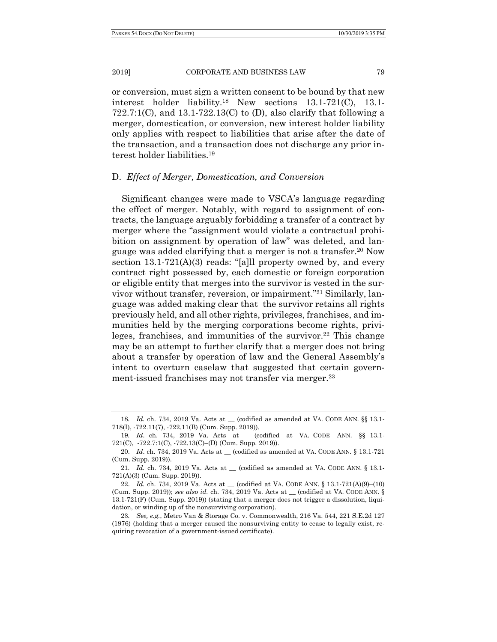or conversion, must sign a written consent to be bound by that new interest holder liability.18 New sections 13.1-721(C), 13.1- 722.7:1(C), and  $13.1-722.13($ C) to (D), also clarify that following a merger, domestication, or conversion, new interest holder liability only applies with respect to liabilities that arise after the date of the transaction, and a transaction does not discharge any prior interest holder liabilities.19

## D. *Effect of Merger, Domestication, and Conversion*

Significant changes were made to VSCA's language regarding the effect of merger. Notably, with regard to assignment of contracts, the language arguably forbidding a transfer of a contract by merger where the "assignment would violate a contractual prohibition on assignment by operation of law" was deleted, and language was added clarifying that a merger is not a transfer.20 Now section 13.1-721(A)(3) reads: "[a]ll property owned by, and every contract right possessed by, each domestic or foreign corporation or eligible entity that merges into the survivor is vested in the survivor without transfer, reversion, or impairment."21 Similarly, language was added making clear that the survivor retains all rights previously held, and all other rights, privileges, franchises, and immunities held by the merging corporations become rights, privileges, franchises, and immunities of the survivor.<sup>22</sup> This change may be an attempt to further clarify that a merger does not bring about a transfer by operation of law and the General Assembly's intent to overturn caselaw that suggested that certain government-issued franchises may not transfer via merger.<sup>23</sup>

<sup>18</sup>*. Id.* ch. 734, 2019 Va. Acts at \_\_ (codified as amended at VA. CODE ANN. §§ 13.1- 718(I), -722.11(7), -722.11(B) (Cum. Supp. 2019)).

<sup>19</sup>*. Id*. ch. 734, 2019 Va. Acts at \_\_ (codified at VA. CODE ANN. §§ 13.1- 721(C), -722.7:1(C), -722.13(C)–(D) (Cum. Supp. 2019)).

 <sup>20.</sup> *Id*. ch. 734, 2019 Va. Acts at \_\_ (codified as amended at VA. CODE ANN. § 13.1-721 (Cum. Supp. 2019)).

<sup>21</sup>*. Id.* ch. 734, 2019 Va. Acts at \_\_ (codified as amended at VA. CODE ANN. § 13.1- 721(A)(3) (Cum. Supp. 2019)).

<sup>22.</sup> *Id.* ch. 734, 2019 Va. Acts at  $\_\_$  (codified at VA. CODE ANN. § 13.1-721(A)(9)–(10) (Cum. Supp. 2019)); *see also id.* ch. 734, 2019 Va. Acts at \_\_ (codified at VA. CODE ANN. § 13.1-721(F) (Cum. Supp. 2019)) (stating that a merger does not trigger a dissolution, liquidation, or winding up of the nonsurviving corporation).

<sup>23</sup>*. See, e.g.*, Metro Van & Storage Co. v. Commonwealth, 216 Va. 544, 221 S.E.2d 127 (1976) (holding that a merger caused the nonsurviving entity to cease to legally exist, requiring revocation of a government-issued certificate).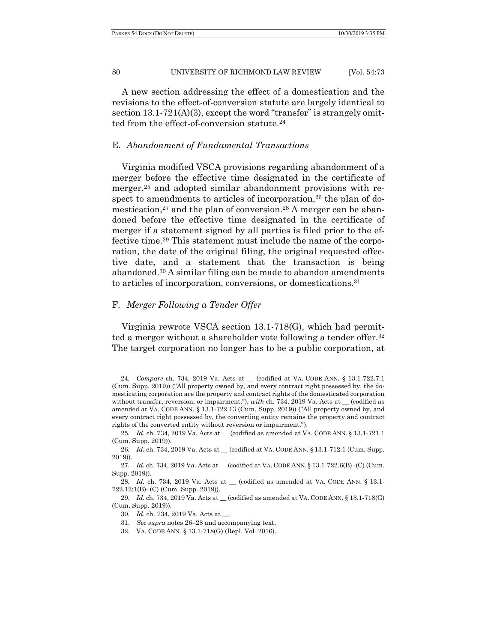A new section addressing the effect of a domestication and the revisions to the effect-of-conversion statute are largely identical to section  $13.1-721(A)(3)$ , except the word "transfer" is strangely omitted from the effect-of-conversion statute.<sup>24</sup>

## E. *Abandonment of Fundamental Transactions*

Virginia modified VSCA provisions regarding abandonment of a merger before the effective time designated in the certificate of merger,<sup>25</sup> and adopted similar abandonment provisions with respect to amendments to articles of incorporation,<sup>26</sup> the plan of domestication,<sup>27</sup> and the plan of conversion.<sup>28</sup> A merger can be abandoned before the effective time designated in the certificate of merger if a statement signed by all parties is filed prior to the effective time.29 This statement must include the name of the corporation, the date of the original filing, the original requested effective date, and a statement that the transaction is being abandoned.30 A similar filing can be made to abandon amendments to articles of incorporation, conversions, or domestications.31

## F. *Merger Following a Tender Offer*

Virginia rewrote VSCA section 13.1-718(G), which had permitted a merger without a shareholder vote following a tender offer.32 The target corporation no longer has to be a public corporation, at

<sup>24</sup>*. Compare* ch. 734, 2019 Va. Acts at \_\_ (codified at VA. CODE ANN. § 13.1-722.7:1 (Cum. Supp. 2019)) ("All property owned by, and every contract right possessed by, the domesticating corporation are the property and contract rights of the domesticated corporation without transfer, reversion, or impairment."), *with* ch. 734, 2019 Va. Acts at \_\_ (codified as amended at VA. CODE ANN. § 13.1-722.13 (Cum. Supp. 2019)) ("All property owned by, and every contract right possessed by, the converting entity remains the property and contract rights of the converted entity without reversion or impairment.").

<sup>25</sup>*. Id.* ch. 734, 2019 Va. Acts at \_\_ (codified as amended at VA. CODE ANN. § 13.1-721.1 (Cum. Supp. 2019)).

<sup>26</sup>*. Id.* ch. 734, 2019 Va. Acts at \_\_ (codified at VA. CODE ANN. § 13.1-712.1 (Cum. Supp. 2019)).

<sup>27.</sup> *Id.* ch. 734, 2019 Va. Acts at \_\_ (codified at VA. CODE ANN. § 13.1-722.6(B)–(C) (Cum. Supp. 2019)).

<sup>28</sup>*. Id.* ch. 734, 2019 Va. Acts at \_\_ (codified as amended at VA. CODE ANN. § 13.1- 722.12:1(B)–(C) (Cum. Supp. 2019)).

<sup>29.</sup> *Id.* ch. 734, 2019 Va. Acts at \_\_ (codified as amended at VA. CODE ANN. § 13.1-718(G) (Cum. Supp. 2019)).

<sup>30</sup>*. Id.* ch. 734, 2019 Va. Acts at \_\_.

 <sup>31.</sup> *See supra* notes 26–28 and accompanying text.

 <sup>32.</sup> VA. CODE ANN. § 13.1-718(G) (Repl. Vol. 2016).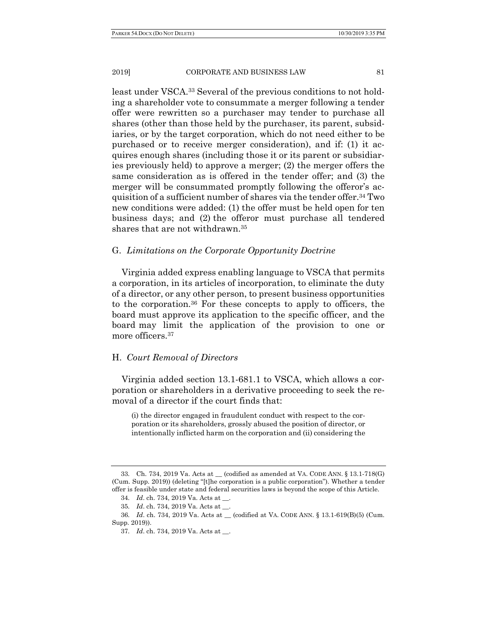least under VSCA.33 Several of the previous conditions to not holding a shareholder vote to consummate a merger following a tender offer were rewritten so a purchaser may tender to purchase all shares (other than those held by the purchaser, its parent, subsidiaries, or by the target corporation, which do not need either to be purchased or to receive merger consideration), and if: (1) it acquires enough shares (including those it or its parent or subsidiaries previously held) to approve a merger; (2) the merger offers the same consideration as is offered in the tender offer; and (3) the merger will be consummated promptly following the offeror's acquisition of a sufficient number of shares via the tender offer.34 Two new conditions were added: (1) the offer must be held open for ten business days; and (2) the offeror must purchase all tendered shares that are not withdrawn.35

## G. *Limitations on the Corporate Opportunity Doctrine*

Virginia added express enabling language to VSCA that permits a corporation, in its articles of incorporation, to eliminate the duty of a director, or any other person, to present business opportunities to the corporation.36 For these concepts to apply to officers, the board must approve its application to the specific officer, and the board may limit the application of the provision to one or more officers.<sup>37</sup>

## H. *Court Removal of Directors*

Virginia added section 13.1-681.1 to VSCA, which allows a corporation or shareholders in a derivative proceeding to seek the removal of a director if the court finds that:

(i) the director engaged in fraudulent conduct with respect to the corporation or its shareholders, grossly abused the position of director, or intentionally inflicted harm on the corporation and (ii) considering the

<sup>33</sup>*.* Ch. 734, 2019 Va. Acts at \_\_ (codified as amended at VA. CODE ANN. § 13.1-718(G) (Cum. Supp. 2019)) (deleting "[t]he corporation is a public corporation"). Whether a tender offer is feasible under state and federal securities laws is beyond the scope of this Article.

<sup>34</sup>*. Id*. ch. 734, 2019 Va. Acts at \_\_.

<sup>35</sup>*. Id*. ch. 734, 2019 Va. Acts at \_\_.

<sup>36</sup>*. Id*. ch. 734, 2019 Va. Acts at \_\_ (codified at VA. CODE ANN. § 13.1-619(B)(5) (Cum. Supp. 2019)).

<sup>37</sup>*. Id*. ch. 734, 2019 Va. Acts at \_\_.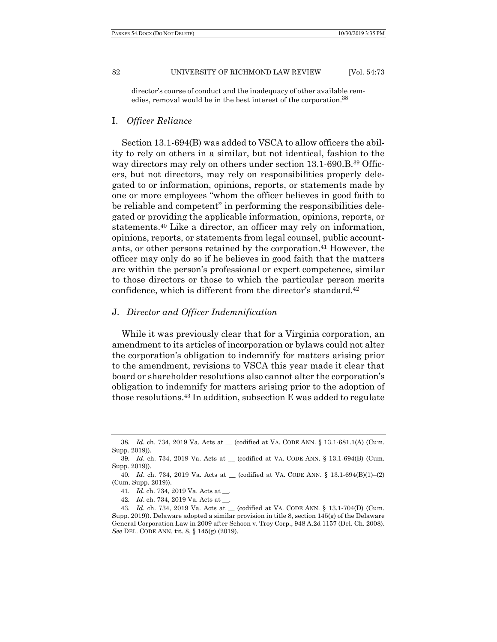director's course of conduct and the inadequacy of other available remedies, removal would be in the best interest of the corporation.38

## I. *Officer Reliance*

Section 13.1-694(B) was added to VSCA to allow officers the ability to rely on others in a similar, but not identical, fashion to the way directors may rely on others under section 13.1-690.B.<sup>39</sup> Officers, but not directors, may rely on responsibilities properly delegated to or information, opinions, reports, or statements made by one or more employees "whom the officer believes in good faith to be reliable and competent" in performing the responsibilities delegated or providing the applicable information, opinions, reports, or statements.40 Like a director, an officer may rely on information, opinions, reports, or statements from legal counsel, public accountants, or other persons retained by the corporation.41 However, the officer may only do so if he believes in good faith that the matters are within the person's professional or expert competence, similar to those directors or those to which the particular person merits confidence, which is different from the director's standard.42

## J. *Director and Officer Indemnification*

While it was previously clear that for a Virginia corporation, an amendment to its articles of incorporation or bylaws could not alter the corporation's obligation to indemnify for matters arising prior to the amendment, revisions to VSCA this year made it clear that board or shareholder resolutions also cannot alter the corporation's obligation to indemnify for matters arising prior to the adoption of those resolutions.43 In addition, subsection E was added to regulate

<sup>38</sup>*. Id*. ch. 734, 2019 Va. Acts at \_\_ (codified at VA. CODE ANN. § 13.1-681.1(A) (Cum. Supp. 2019)).

<sup>39</sup>*. Id*. ch. 734, 2019 Va. Acts at \_\_ (codified at VA. CODE ANN. § 13.1-694(B) (Cum. Supp. 2019)).

<sup>40</sup>*. Id*. ch. 734, 2019 Va. Acts at \_\_ (codified at VA. CODE ANN. § 13.1-694(B)(1)–(2) (Cum. Supp. 2019)).

<sup>41</sup>*. Id*. ch. 734, 2019 Va. Acts at \_\_.

<sup>42</sup>*. Id*. ch. 734, 2019 Va. Acts at \_\_.

<sup>43</sup>*. Id*. ch. 734, 2019 Va. Acts at \_\_ (codified at VA. CODE ANN. § 13.1-704(D) (Cum. Supp. 2019)). Delaware adopted a similar provision in title 8, section 145(g) of the Delaware General Corporation Law in 2009 after Schoon v. Troy Corp., 948 A.2d 1157 (Del. Ch. 2008). *See* DEL. CODE ANN. tit. 8, § 145(g) (2019).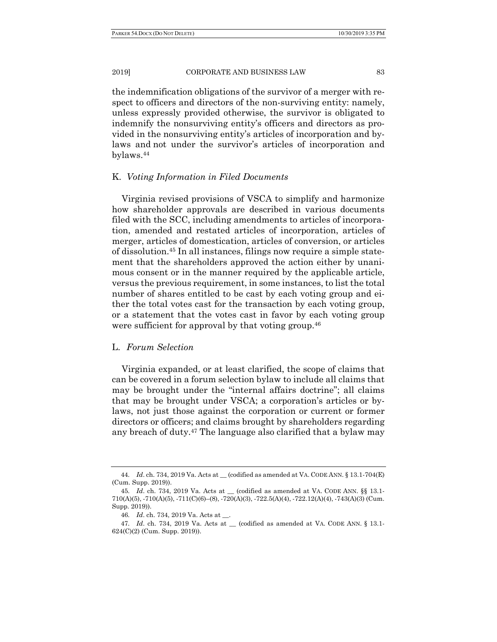the indemnification obligations of the survivor of a merger with respect to officers and directors of the non-surviving entity: namely, unless expressly provided otherwise, the survivor is obligated to indemnify the nonsurviving entity's officers and directors as provided in the nonsurviving entity's articles of incorporation and bylaws and not under the survivor's articles of incorporation and bylaws.44

#### K. *Voting Information in Filed Documents*

Virginia revised provisions of VSCA to simplify and harmonize how shareholder approvals are described in various documents filed with the SCC, including amendments to articles of incorporation, amended and restated articles of incorporation, articles of merger, articles of domestication, articles of conversion, or articles of dissolution.45 In all instances, filings now require a simple statement that the shareholders approved the action either by unanimous consent or in the manner required by the applicable article, versus the previous requirement, in some instances, to list the total number of shares entitled to be cast by each voting group and either the total votes cast for the transaction by each voting group, or a statement that the votes cast in favor by each voting group were sufficient for approval by that voting group.<sup>46</sup>

## L. *Forum Selection*

Virginia expanded, or at least clarified, the scope of claims that can be covered in a forum selection bylaw to include all claims that may be brought under the "internal affairs doctrine"; all claims that may be brought under VSCA; a corporation's articles or bylaws, not just those against the corporation or current or former directors or officers; and claims brought by shareholders regarding any breach of duty.47 The language also clarified that a bylaw may

<sup>44</sup>*. Id*. ch. 734, 2019 Va. Acts at \_\_ (codified as amended at VA. CODE ANN. § 13.1-704(E) (Cum. Supp. 2019)).

<sup>45</sup>*. Id*. ch. 734, 2019 Va. Acts at \_\_ (codified as amended at VA. CODE ANN. §§ 13.1- 710(A)(5), -710(A)(5), -711(C)(6)–(8), -720(A)(3), -722.5(A)(4), -722.12(A)(4), -743(A)(3) (Cum. Supp. 2019)).

<sup>46</sup>*. Id*. ch. 734, 2019 Va. Acts at \_\_.

<sup>47</sup>*. Id*. ch. 734, 2019 Va. Acts at \_\_ (codified as amended at VA. CODE ANN. § 13.1- 624(C)(2) (Cum. Supp. 2019)).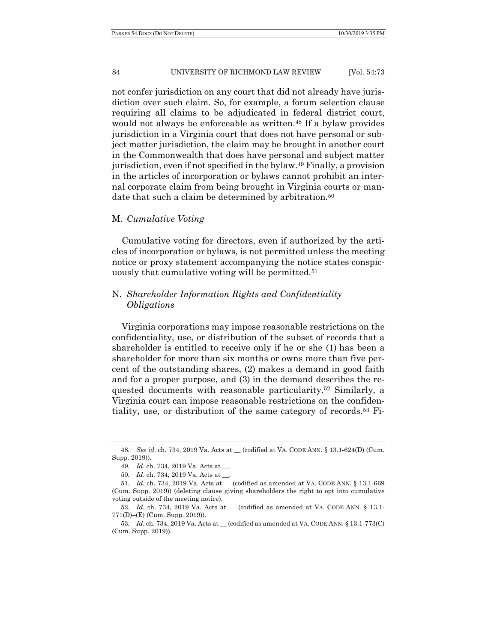not confer jurisdiction on any court that did not already have jurisdiction over such claim. So, for example, a forum selection clause requiring all claims to be adjudicated in federal district court, would not always be enforceable as written.<sup>48</sup> If a bylaw provides jurisdiction in a Virginia court that does not have personal or subject matter jurisdiction, the claim may be brought in another court in the Commonwealth that does have personal and subject matter jurisdiction, even if not specified in the bylaw.49 Finally, a provision in the articles of incorporation or bylaws cannot prohibit an internal corporate claim from being brought in Virginia courts or mandate that such a claim be determined by arbitration.<sup>50</sup>

## M. *Cumulative Voting*

Cumulative voting for directors, even if authorized by the articles of incorporation or bylaws, is not permitted unless the meeting notice or proxy statement accompanying the notice states conspicuously that cumulative voting will be permitted.51

## N. *Shareholder Information Rights and Confidentiality Obligations*

Virginia corporations may impose reasonable restrictions on the confidentiality, use, or distribution of the subset of records that a shareholder is entitled to receive only if he or she (1) has been a shareholder for more than six months or owns more than five percent of the outstanding shares, (2) makes a demand in good faith and for a proper purpose, and (3) in the demand describes the requested documents with reasonable particularity.52 Similarly, a Virginia court can impose reasonable restrictions on the confidentiality, use, or distribution of the same category of records.53 Fi-

<sup>48</sup>*. See id.* ch. 734, 2019 Va. Acts at \_\_ (codified at VA. CODE ANN. § 13.1-624(D) (Cum. Supp. 2019)).

<sup>49</sup>*. Id*. ch. 734, 2019 Va. Acts at \_\_.

<sup>50</sup>*. Id*. ch. 734, 2019 Va. Acts at \_\_.

<sup>51</sup>*. Id.* ch. 734, 2019 Va. Acts at \_\_ (codified as amended at VA. CODE ANN. § 13.1-669 (Cum. Supp. 2019)) (deleting clause giving shareholders the right to opt into cumulative voting outside of the meeting notice).

<sup>52</sup>*. Id*. ch. 734, 2019 Va. Acts at \_\_ (codified as amended at VA. CODE ANN. § 13.1- 771(D)–(E) (Cum. Supp. 2019)).

<sup>53</sup>*. Id*. ch. 734, 2019 Va. Acts at \_\_ (codified as amended at VA. CODE ANN. § 13.1-773(C) (Cum. Supp. 2019)).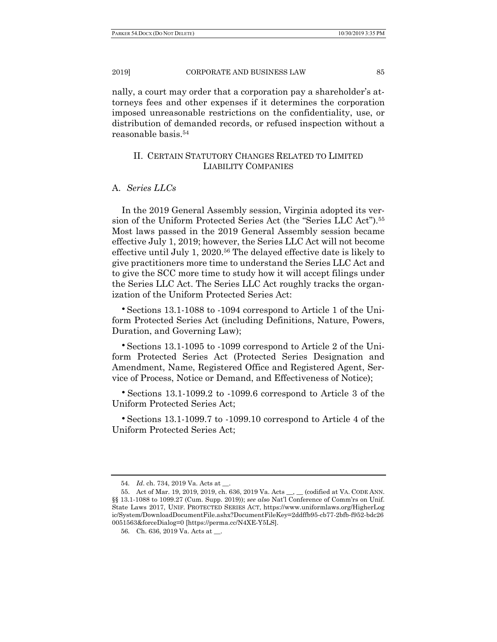nally, a court may order that a corporation pay a shareholder's attorneys fees and other expenses if it determines the corporation imposed unreasonable restrictions on the confidentiality, use, or distribution of demanded records, or refused inspection without a reasonable basis.54

## II. CERTAIN STATUTORY CHANGES RELATED TO LIMITED LIABILITY COMPANIES

## A. *Series LLCs*

In the 2019 General Assembly session, Virginia adopted its version of the Uniform Protected Series Act (the "Series LLC Act").55 Most laws passed in the 2019 General Assembly session became effective July 1, 2019; however, the Series LLC Act will not become effective until July 1, 2020.56 The delayed effective date is likely to give practitioners more time to understand the Series LLC Act and to give the SCC more time to study how it will accept filings under the Series LLC Act. The Series LLC Act roughly tracks the organization of the Uniform Protected Series Act:

• Sections 13.1-1088 to -1094 correspond to Article 1 of the Uniform Protected Series Act (including Definitions, Nature, Powers, Duration, and Governing Law);

• Sections 13.1-1095 to -1099 correspond to Article 2 of the Uniform Protected Series Act (Protected Series Designation and Amendment, Name, Registered Office and Registered Agent, Service of Process, Notice or Demand, and Effectiveness of Notice);

<sup>ŏ</sup> Sections 13.1-1099.2 to -1099.6 correspond to Article 3 of the Uniform Protected Series Act;

<sup>ŏ</sup> Sections 13.1-1099.7 to -1099.10 correspond to Article 4 of the Uniform Protected Series Act;

<sup>54</sup>*. Id*. ch. 734, 2019 Va. Acts at \_\_.

 <sup>55.</sup> Act of Mar. 19, 2019, 2019, ch. 636, 2019 Va. Acts \_\_, \_\_ (codified at VA. CODE ANN. §§ 13.1-1088 to 1099.27 (Cum. Supp. 2019)); *see also* Nat'l Conference of Comm'rs on Unif. State Laws 2017, UNIF. PROTECTED SERIES ACT, https://www.uniformlaws.org/HigherLog ic/System/DownloadDocumentFile.ashx?DocumentFileKey=2ddffb95-cb77-2bfb-f952-bdc26 0051563&forceDialog=0 [https://perma.cc/N4XE-Y5LS].

<sup>56</sup>*.* Ch. 636, 2019 Va. Acts at \_\_.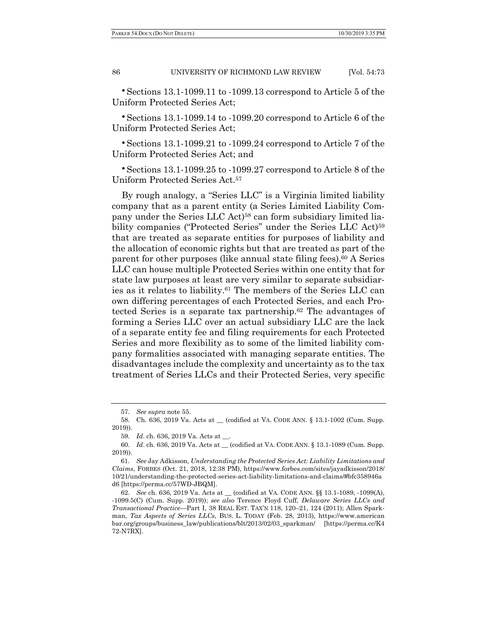$\cdot$  Sections 13.1-1099.11 to -1099.13 correspond to Article 5 of the Uniform Protected Series Act;

<sup>ŏ</sup> Sections 13.1-1099.14 to -1099.20 correspond to Article 6 of the Uniform Protected Series Act;

<sup>ŏ</sup> Sections 13.1-1099.21 to -1099.24 correspond to Article 7 of the Uniform Protected Series Act; and

<sup>ŏ</sup> Sections 13.1-1099.25 to -1099.27 correspond to Article 8 of the Uniform Protected Series Act.57

By rough analogy, a "Series LLC" is a Virginia limited liability company that as a parent entity (a Series Limited Liability Company under the Series LLC Act)<sup>58</sup> can form subsidiary limited liability companies ("Protected Series" under the Series LLC Act)<sup>59</sup> that are treated as separate entities for purposes of liability and the allocation of economic rights but that are treated as part of the parent for other purposes (like annual state filing fees).60 A Series LLC can house multiple Protected Series within one entity that for state law purposes at least are very similar to separate subsidiaries as it relates to liability.61 The members of the Series LLC can own differing percentages of each Protected Series, and each Protected Series is a separate tax partnership.62 The advantages of forming a Series LLC over an actual subsidiary LLC are the lack of a separate entity fee and filing requirements for each Protected Series and more flexibility as to some of the limited liability company formalities associated with managing separate entities. The disadvantages include the complexity and uncertainty as to the tax treatment of Series LLCs and their Protected Series, very specific

 <sup>57.</sup> *See supra* note 55.

<sup>58</sup>*.* Ch. 636, 2019 Va. Acts at \_\_ (codified at VA. CODE ANN. § 13.1-1002 (Cum. Supp. 2019)).

<sup>59</sup>*. Id*. ch. 636, 2019 Va. Acts at \_\_.

 <sup>60.</sup> *Id*. ch. 636, 2019 Va. Acts at \_\_ (codified at VA. CODE ANN. § 13.1-1089 (Cum. Supp. 2019)).

<sup>61</sup>*. See* Jay Adkisson, *Understanding the Protected Series Act: Liability Limitations and Claims*, FORBES (Oct. 21, 2018, 12:38 PM), https://www.forbes.com/sites/jayadkisson/2018/ 10/21/understanding-the-protected-series-act-liability-limitations-and-claims/#bfc358946a d6 [https://perma.cc/57WD-JBQM].

 <sup>62.</sup> *See* ch. 636, 2019 Va. Acts at \_\_ (codified at VA. CODE ANN. §§ 13.1-1089, -1099(A), -1099.5(C) (Cum. Supp. 2019)); *see also* Terence Floyd Cuff, *Delaware Series LLCs and Transactional Practice*—Part I, 38 REAL EST. TAX'N 118, 120–21, 124 (2011); Allen Sparkman, *Tax Aspects of Series LLCs*, BUS. L. TODAY (Feb. 28, 2013), https://www.american bar.org/groups/business\_law/publications/blt/2013/02/03\_sparkman/ [https://perma.cc/K4 72-N7RX].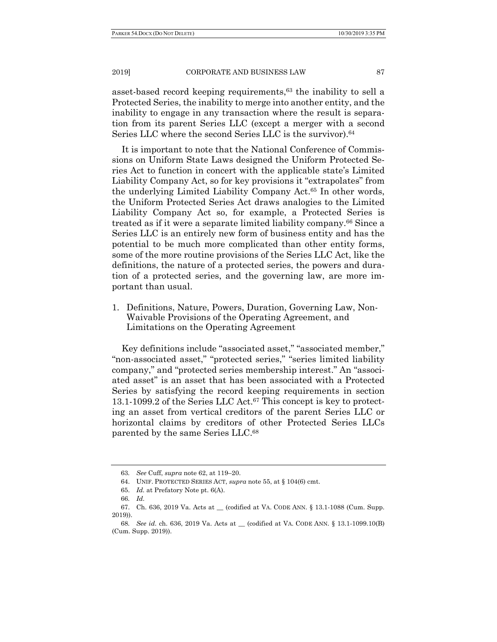asset-based record keeping requirements,63 the inability to sell a Protected Series, the inability to merge into another entity, and the inability to engage in any transaction where the result is separation from its parent Series LLC (except a merger with a second Series LLC where the second Series LLC is the survivor).<sup>64</sup>

It is important to note that the National Conference of Commissions on Uniform State Laws designed the Uniform Protected Series Act to function in concert with the applicable state's Limited Liability Company Act, so for key provisions it "extrapolates" from the underlying Limited Liability Company Act.65 In other words, the Uniform Protected Series Act draws analogies to the Limited Liability Company Act so, for example, a Protected Series is treated as if it were a separate limited liability company.66 Since a Series LLC is an entirely new form of business entity and has the potential to be much more complicated than other entity forms, some of the more routine provisions of the Series LLC Act, like the definitions, the nature of a protected series, the powers and duration of a protected series, and the governing law, are more important than usual.

1. Definitions, Nature, Powers, Duration, Governing Law, Non-Waivable Provisions of the Operating Agreement, and Limitations on the Operating Agreement

Key definitions include "associated asset," "associated member," "non-associated asset," "protected series," "series limited liability company," and "protected series membership interest." An "associated asset" is an asset that has been associated with a Protected Series by satisfying the record keeping requirements in section 13.1-1099.2 of the Series LLC Act.67 This concept is key to protecting an asset from vertical creditors of the parent Series LLC or horizontal claims by creditors of other Protected Series LLCs parented by the same Series LLC.68

<sup>63</sup>*. See* Cuff, *supra* note 62, at 119–20.

 <sup>64.</sup> UNIF. PROTECTED SERIES ACT, *supra* note 55, at § 104(6) cmt.

 <sup>65.</sup> *Id.* at Prefatory Note pt. 6(A).

<sup>66</sup>*. Id*.

 <sup>67.</sup> Ch. 636, 2019 Va. Acts at \_\_ (codified at VA. CODE ANN. § 13.1-1088 (Cum. Supp. 2019)).

<sup>68</sup>*. See id*. ch. 636, 2019 Va. Acts at \_\_ (codified at VA. CODE ANN. § 13.1-1099.10(B) (Cum. Supp. 2019)).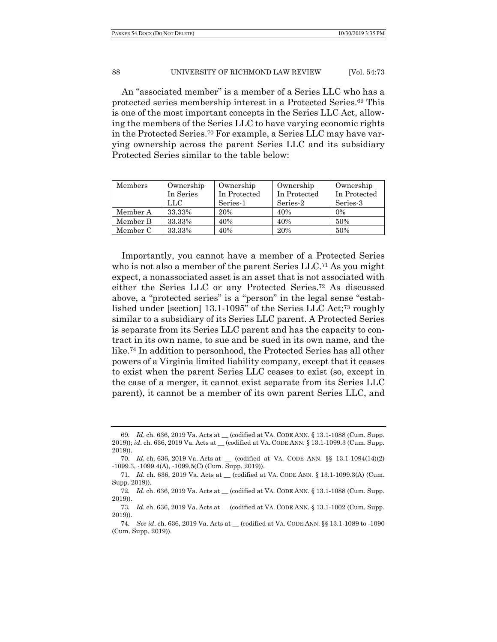An "associated member" is a member of a Series LLC who has a protected series membership interest in a Protected Series.69 This is one of the most important concepts in the Series LLC Act, allowing the members of the Series LLC to have varying economic rights in the Protected Series.70 For example, a Series LLC may have varying ownership across the parent Series LLC and its subsidiary Protected Series similar to the table below:

| Members  | Ownership | Ownership    | Ownership    | Ownership    |
|----------|-----------|--------------|--------------|--------------|
|          | In Series | In Protected | In Protected | In Protected |
|          | LLC       | Series-1     | Series-2     | Series-3     |
| Member A | 33.33%    | 20%          | 40%          | $0\%$        |
| Member B | 33.33%    | 40%          | 40%          | 50%          |
| Member C | 33.33%    | 40%          | 20%          | 50%          |

Importantly, you cannot have a member of a Protected Series who is not also a member of the parent Series LLC.<sup>71</sup> As you might expect, a nonassociated asset is an asset that is not associated with either the Series LLC or any Protected Series.72 As discussed above, a "protected series" is a "person" in the legal sense "established under [section] 13.1-1095" of the Series LLC Act;73 roughly similar to a subsidiary of its Series LLC parent. A Protected Series is separate from its Series LLC parent and has the capacity to contract in its own name, to sue and be sued in its own name, and the like.74 In addition to personhood, the Protected Series has all other powers of a Virginia limited liability company, except that it ceases to exist when the parent Series LLC ceases to exist (so, except in the case of a merger, it cannot exist separate from its Series LLC parent), it cannot be a member of its own parent Series LLC, and

<sup>69</sup>*. Id*. ch. 636, 2019 Va. Acts at \_\_ (codified at VA. CODE ANN. § 13.1-1088 (Cum. Supp. 2019)); *id*. ch. 636, 2019 Va. Acts at \_\_ (codified at VA. CODE ANN. § 13.1-1099.3 (Cum. Supp. 2019)).

 <sup>70.</sup> *Id*. ch. 636, 2019 Va. Acts at \_\_ (codified at VA. CODE ANN. §§ 13.1-1094(14)(2) -1099.3, -1099.4(A), -1099.5(C) (Cum. Supp. 2019)).

<sup>71</sup>*. Id*. ch. 636, 2019 Va. Acts at \_\_ (codified at VA. CODE ANN. § 13.1-1099.3(A) (Cum. Supp. 2019)).

<sup>72</sup>*. Id*. ch. 636, 2019 Va. Acts at \_\_ (codified at VA. CODE ANN. § 13.1-1088 (Cum. Supp. 2019)).

<sup>73</sup>*. Id*. ch. 636, 2019 Va. Acts at \_\_ (codified at VA. CODE ANN. § 13.1-1002 (Cum. Supp. 2019)).

<sup>74</sup>*. See id*. ch. 636, 2019 Va. Acts at \_\_ (codified at VA. CODE ANN. §§ 13.1-1089 to -1090 (Cum. Supp. 2019)).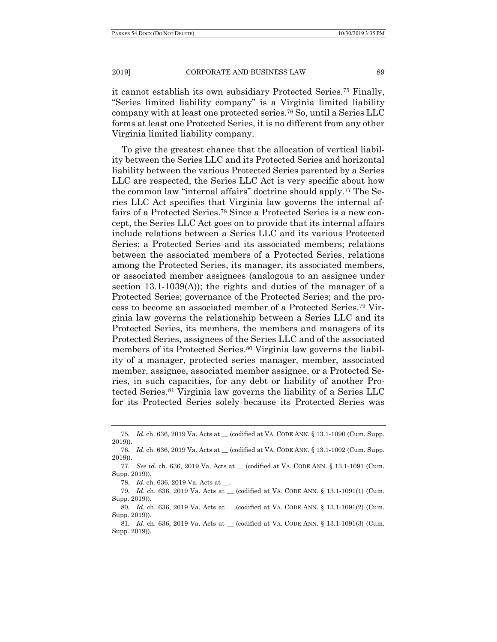it cannot establish its own subsidiary Protected Series.75 Finally, "Series limited liability company" is a Virginia limited liability company with at least one protected series.76 So, until a Series LLC forms at least one Protected Series, it is no different from any other Virginia limited liability company.

To give the greatest chance that the allocation of vertical liability between the Series LLC and its Protected Series and horizontal liability between the various Protected Series parented by a Series LLC are respected, the Series LLC Act is very specific about how the common law "internal affairs" doctrine should apply.77 The Series LLC Act specifies that Virginia law governs the internal affairs of a Protected Series.78 Since a Protected Series is a new concept, the Series LLC Act goes on to provide that its internal affairs include relations between a Series LLC and its various Protected Series; a Protected Series and its associated members; relations between the associated members of a Protected Series, relations among the Protected Series, its manager, its associated members, or associated member assignees (analogous to an assignee under section 13.1-1039(A)); the rights and duties of the manager of a Protected Series; governance of the Protected Series; and the process to become an associated member of a Protected Series.79 Virginia law governs the relationship between a Series LLC and its Protected Series, its members, the members and managers of its Protected Series, assignees of the Series LLC and of the associated members of its Protected Series.<sup>80</sup> Virginia law governs the liability of a manager, protected series manager, member, associated member, assignee, associated member assignee, or a Protected Series, in such capacities, for any debt or liability of another Protected Series.81 Virginia law governs the liability of a Series LLC for its Protected Series solely because its Protected Series was

78. *Id*. ch. 636, 2019 Va. Acts at \_\_.

<sup>75</sup>*. Id*. ch. 636, 2019 Va. Acts at \_\_ (codified at VA. CODE ANN. § 13.1-1090 (Cum. Supp. 2019)).

<sup>76</sup>*. Id*. ch. 636, 2019 Va. Acts at \_\_ (codified at VA. CODE ANN. § 13.1-1002 (Cum. Supp. 2019)).

<sup>77</sup>*. See id*. ch. 636, 2019 Va. Acts at \_\_ (codified at VA. CODE ANN. § 13.1-1091 (Cum. Supp. 2019)).

<sup>79</sup>*. Id*. ch. 636, 2019 Va. Acts at \_\_ (codified at VA. CODE ANN. § 13.1-1091(1) (Cum. Supp. 2019)).

<sup>80</sup>*. Id*. ch. 636, 2019 Va. Acts at \_\_ (codified at VA. CODE ANN. § 13.1-1091(2) (Cum. Supp. 2019)).

<sup>81</sup>*. Id*. ch. 636, 2019 Va. Acts at \_\_ (codified at VA. CODE ANN. § 13.1-1091(3) (Cum. Supp. 2019)).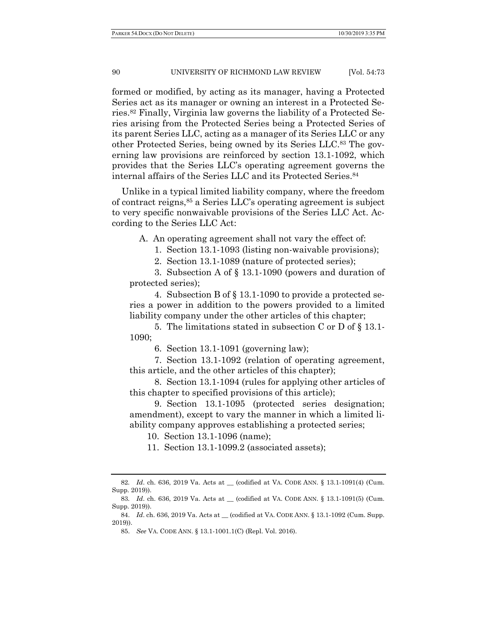formed or modified, by acting as its manager, having a Protected Series act as its manager or owning an interest in a Protected Series.82 Finally, Virginia law governs the liability of a Protected Series arising from the Protected Series being a Protected Series of its parent Series LLC, acting as a manager of its Series LLC or any other Protected Series, being owned by its Series LLC.83 The governing law provisions are reinforced by section 13.1-1092, which provides that the Series LLC's operating agreement governs the internal affairs of the Series LLC and its Protected Series.84

Unlike in a typical limited liability company, where the freedom of contract reigns,85 a Series LLC's operating agreement is subject to very specific nonwaivable provisions of the Series LLC Act. According to the Series LLC Act:

A. An operating agreement shall not vary the effect of:

1. Section 13.1-1093 (listing non-waivable provisions);

2. Section 13.1-1089 (nature of protected series);

 3. Subsection A of § 13.1-1090 (powers and duration of protected series);

 4. Subsection B of § 13.1-1090 to provide a protected series a power in addition to the powers provided to a limited liability company under the other articles of this chapter;

 5. The limitations stated in subsection C or D of § 13.1- 1090;

6. Section 13.1-1091 (governing law);

 7. Section 13.1-1092 (relation of operating agreement, this article, and the other articles of this chapter);

 8. Section 13.1-1094 (rules for applying other articles of this chapter to specified provisions of this article);

 9. Section 13.1-1095 (protected series designation; amendment), except to vary the manner in which a limited liability company approves establishing a protected series;

10. Section 13.1-1096 (name);

11. Section 13.1-1099.2 (associated assets);

<sup>82</sup>*. Id*. ch. 636, 2019 Va. Acts at \_\_ (codified at VA. CODE ANN. § 13.1-1091(4) (Cum. Supp. 2019)).

<sup>83</sup>*. Id*. ch. 636, 2019 Va. Acts at \_\_ (codified at VA. CODE ANN. § 13.1-1091(5) (Cum. Supp. 2019)).

 <sup>84.</sup> *Id*. ch. 636, 2019 Va. Acts at \_\_ (codified at VA. CODE ANN. § 13.1-1092 (Cum. Supp. 2019)).

 <sup>85.</sup> *See* VA. CODE ANN. § 13.1-1001.1(C) (Repl. Vol. 2016).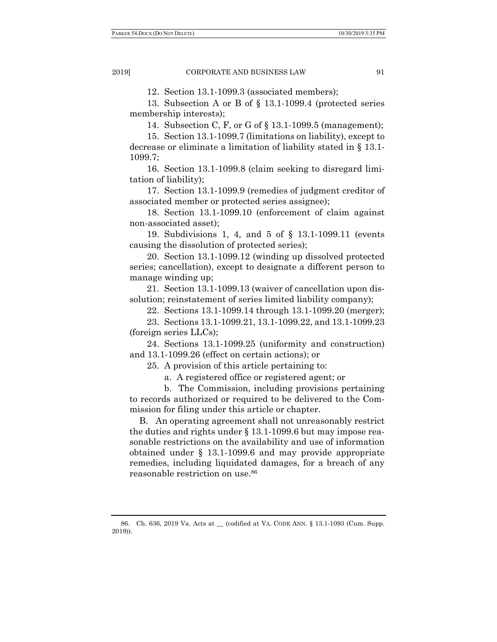12. Section 13.1-1099.3 (associated members);

 13. Subsection A or B of § 13.1-1099.4 (protected series membership interests);

14. Subsection C, F, or G of § 13.1-1099.5 (management);

 15. Section 13.1-1099.7 (limitations on liability), except to decrease or eliminate a limitation of liability stated in § 13.1- 1099.7;

 16. Section 13.1-1099.8 (claim seeking to disregard limitation of liability);

 17. Section 13.1-1099.9 (remedies of judgment creditor of associated member or protected series assignee);

 18. Section 13.1-1099.10 (enforcement of claim against non-associated asset);

 19. Subdivisions 1, 4, and 5 of § 13.1-1099.11 (events causing the dissolution of protected series);

 20. Section 13.1-1099.12 (winding up dissolved protected series; cancellation), except to designate a different person to manage winding up;

 21. Section 13.1-1099.13 (waiver of cancellation upon dissolution; reinstatement of series limited liability company);

22. Sections 13.1-1099.14 through 13.1-1099.20 (merger);

 23. Sections 13.1-1099.21, 13.1-1099.22, and 13.1-1099.23 (foreign series LLCs);

 24. Sections 13.1-1099.25 (uniformity and construction) and 13.1-1099.26 (effect on certain actions); or

25. A provision of this article pertaining to:

a. A registered office or registered agent; or

 b. The Commission, including provisions pertaining to records authorized or required to be delivered to the Commission for filing under this article or chapter.

B. An operating agreement shall not unreasonably restrict the duties and rights under § 13.1-1099.6 but may impose reasonable restrictions on the availability and use of information obtained under § 13.1-1099.6 and may provide appropriate remedies, including liquidated damages, for a breach of any reasonable restriction on use.86

 <sup>86.</sup> Ch. 636, 2019 Va. Acts at \_\_ (codified at VA. CODE ANN. § 13.1-1093 (Cum. Supp. 2019)).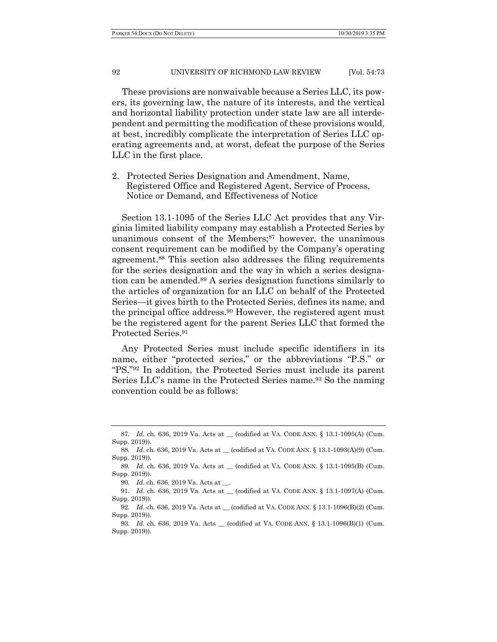PARKER 54.DOCX (DO NOT DELETE) 23.35 PM

#### 92 UNIVERSITY OF RICHMOND LAW REVIEW [Vol. 54:73

These provisions are nonwaivable because a Series LLC, its powers, its governing law, the nature of its interests, and the vertical and horizontal liability protection under state law are all interdependent and permitting the modification of these provisions would, at best, incredibly complicate the interpretation of Series LLC operating agreements and, at worst, defeat the purpose of the Series LLC in the first place.

2. Protected Series Designation and Amendment, Name, Registered Office and Registered Agent, Service of Process, Notice or Demand, and Effectiveness of Notice

Section 13.1-1095 of the Series LLC Act provides that any Virginia limited liability company may establish a Protected Series by unanimous consent of the Members;<sup>87</sup> however, the unanimous consent requirement can be modified by the Company's operating agreement.88 This section also addresses the filing requirements for the series designation and the way in which a series designation can be amended.89 A series designation functions similarly to the articles of organization for an LLC on behalf of the Protected Series—it gives birth to the Protected Series, defines its name, and the principal office address.90 However, the registered agent must be the registered agent for the parent Series LLC that formed the Protected Series.91

Any Protected Series must include specific identifiers in its name, either "protected series," or the abbreviations "P.S." or "PS."92 In addition, the Protected Series must include its parent Series LLC's name in the Protected Series name.<sup>93</sup> So the naming convention could be as follows:

<sup>87.</sup> *Id.* ch. 636, 2019 Va. Acts at (codified at VA. CODE ANN. § 13.1-1095(A) (Cum. Supp. 2019)).

<sup>88</sup>*. Id*. ch. 636, 2019 Va. Acts at \_\_ (codified at VA. CODE ANN. § 13.1-1093(A)(9) (Cum. Supp. 2019)).

<sup>89</sup>*. Id*. ch. 636, 2019 Va. Acts at \_\_ (codified at VA. CODE ANN. § 13.1-1095(B) (Cum. Supp. 2019)).

<sup>90</sup>*. Id*. ch. 636, 2019 Va. Acts at \_\_.

<sup>91</sup>*. Id*. ch. 636, 2019 Va. Acts at \_\_ (codified at VA. CODE ANN. § 13.1-1097(A) (Cum. Supp. 2019)).

<sup>92</sup>*. Id*. ch. 636, 2019 Va. Acts at \_\_ (codified at VA. CODE ANN. § 13.1-1096(B)(2) (Cum. Supp. 2019)).

<sup>93</sup>*. Id*. ch. 636, 2019 Va. Acts \_\_ (codified at VA. CODE ANN. § 13.1-1096(B)(1) (Cum. Supp. 2019)).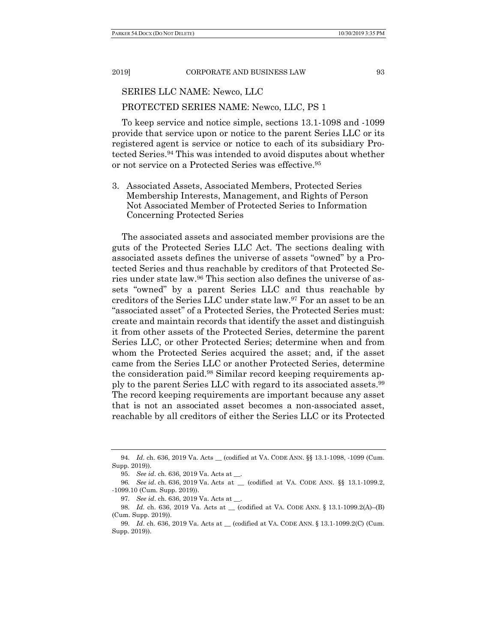# SERIES LLC NAME: Newco, LLC PROTECTED SERIES NAME: Newco, LLC, PS 1

To keep service and notice simple, sections 13.1-1098 and -1099 provide that service upon or notice to the parent Series LLC or its registered agent is service or notice to each of its subsidiary Protected Series.94 This was intended to avoid disputes about whether or not service on a Protected Series was effective.95

3. Associated Assets, Associated Members, Protected Series Membership Interests, Management, and Rights of Person Not Associated Member of Protected Series to Information Concerning Protected Series

The associated assets and associated member provisions are the guts of the Protected Series LLC Act. The sections dealing with associated assets defines the universe of assets "owned" by a Protected Series and thus reachable by creditors of that Protected Series under state law.96 This section also defines the universe of assets "owned" by a parent Series LLC and thus reachable by creditors of the Series LLC under state law.97 For an asset to be an "associated asset" of a Protected Series, the Protected Series must: create and maintain records that identify the asset and distinguish it from other assets of the Protected Series, determine the parent Series LLC, or other Protected Series; determine when and from whom the Protected Series acquired the asset; and, if the asset came from the Series LLC or another Protected Series, determine the consideration paid.98 Similar record keeping requirements apply to the parent Series LLC with regard to its associated assets.99 The record keeping requirements are important because any asset that is not an associated asset becomes a non-associated asset, reachable by all creditors of either the Series LLC or its Protected

<sup>94</sup>*. Id*. ch. 636, 2019 Va. Acts \_\_ (codified at VA. CODE ANN. §§ 13.1-1098, -1099 (Cum. Supp. 2019)).

 <sup>95.</sup> *See id*. ch. 636, 2019 Va. Acts at \_\_.

<sup>96</sup>*. See id*. ch. 636, 2019 Va. Acts at \_\_ (codified at VA. CODE ANN. §§ 13.1-1099.2, -1099.10 (Cum. Supp. 2019)).

<sup>97</sup>*. See id*. ch. 636, 2019 Va. Acts at \_\_.

<sup>98</sup>*. Id*. ch. 636, 2019 Va. Acts at \_\_ (codified at VA. CODE ANN. § 13.1-1099.2(A)–(B) (Cum. Supp. 2019)).

<sup>99</sup>*. Id*. ch. 636, 2019 Va. Acts at \_\_ (codified at VA. CODE ANN. § 13.1-1099.2(C) (Cum. Supp. 2019)).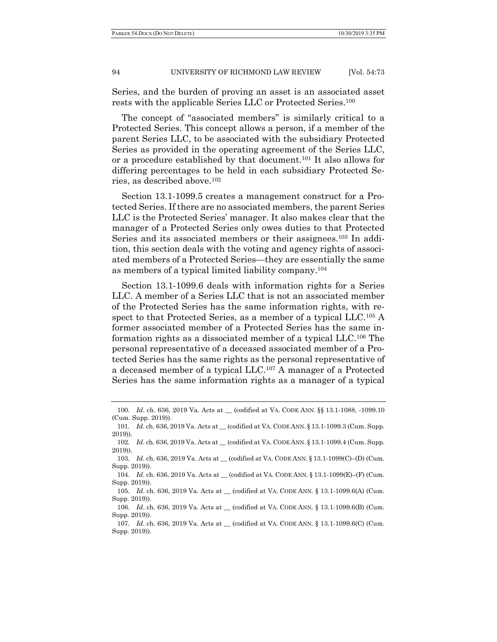Series, and the burden of proving an asset is an associated asset rests with the applicable Series LLC or Protected Series.100

The concept of "associated members" is similarly critical to a Protected Series. This concept allows a person, if a member of the parent Series LLC, to be associated with the subsidiary Protected Series as provided in the operating agreement of the Series LLC, or a procedure established by that document.101 It also allows for differing percentages to be held in each subsidiary Protected Series, as described above.102

Section 13.1-1099.5 creates a management construct for a Protected Series. If there are no associated members, the parent Series LLC is the Protected Series' manager. It also makes clear that the manager of a Protected Series only owes duties to that Protected Series and its associated members or their assignees.103 In addition, this section deals with the voting and agency rights of associated members of a Protected Series—they are essentially the same as members of a typical limited liability company.104

Section 13.1-1099.6 deals with information rights for a Series LLC. A member of a Series LLC that is not an associated member of the Protected Series has the same information rights, with respect to that Protected Series, as a member of a typical LLC.105 A former associated member of a Protected Series has the same information rights as a dissociated member of a typical LLC.106 The personal representative of a deceased associated member of a Protected Series has the same rights as the personal representative of a deceased member of a typical LLC.107 A manager of a Protected Series has the same information rights as a manager of a typical

<sup>100</sup>*. Id*. ch. 636, 2019 Va. Acts at \_\_ (codified at VA. CODE ANN. §§ 13.1-1088, -1099.10 (Cum. Supp. 2019)).

<sup>101</sup>*. Id*. ch. 636, 2019 Va. Acts at \_\_ (codified at VA. CODE ANN. § 13.1-1099.3 (Cum. Supp. 2019)).

<sup>102</sup>*. Id*. ch. 636, 2019 Va. Acts at \_\_ (codified at VA. CODE ANN. § 13.1-1099.4 (Cum. Supp. 2019)).

<sup>103</sup>*. Id.* ch. 636, 2019 Va. Acts at \_\_(codified at VA. CODE ANN. § 13.1-1099(C)–(D) (Cum. Supp. 2019)).

<sup>104</sup>*. Id*. ch. 636, 2019 Va. Acts at \_\_ (codified at VA. CODE ANN. § 13.1-1099(E)–(F) (Cum. Supp. 2019)).

<sup>105</sup>*. Id*. ch. 636, 2019 Va. Acts at \_\_ (codified at VA. CODE ANN. § 13.1-1099.6(A) (Cum. Supp. 2019)).

<sup>106</sup>*. Id*. ch. 636, 2019 Va. Acts at \_\_ (codified at VA. CODE ANN. § 13.1-1099.6(B) (Cum. Supp. 2019)).

<sup>107</sup>*. Id*. ch. 636, 2019 Va. Acts at \_\_ (codified at VA. CODE ANN. § 13.1-1099.6(C) (Cum. Supp. 2019)).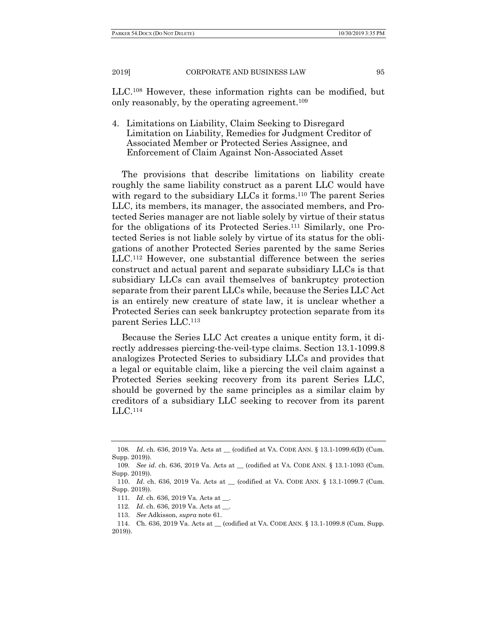LLC.108 However, these information rights can be modified, but only reasonably, by the operating agreement.109

4. Limitations on Liability, Claim Seeking to Disregard Limitation on Liability, Remedies for Judgment Creditor of Associated Member or Protected Series Assignee, and Enforcement of Claim Against Non-Associated Asset

The provisions that describe limitations on liability create roughly the same liability construct as a parent LLC would have with regard to the subsidiary LLCs it forms.<sup>110</sup> The parent Series LLC, its members, its manager, the associated members, and Protected Series manager are not liable solely by virtue of their status for the obligations of its Protected Series.111 Similarly, one Protected Series is not liable solely by virtue of its status for the obligations of another Protected Series parented by the same Series LLC.112 However, one substantial difference between the series construct and actual parent and separate subsidiary LLCs is that subsidiary LLCs can avail themselves of bankruptcy protection separate from their parent LLCs while, because the Series LLC Act is an entirely new creature of state law, it is unclear whether a Protected Series can seek bankruptcy protection separate from its parent Series LLC.113

Because the Series LLC Act creates a unique entity form, it directly addresses piercing-the-veil-type claims. Section 13.1-1099.8 analogizes Protected Series to subsidiary LLCs and provides that a legal or equitable claim, like a piercing the veil claim against a Protected Series seeking recovery from its parent Series LLC, should be governed by the same principles as a similar claim by creditors of a subsidiary LLC seeking to recover from its parent LLC.114

113. *See* Adkisson, *supra* note 61.

<sup>108</sup>*. Id*. ch. 636, 2019 Va. Acts at \_\_ (codified at VA. CODE ANN. § 13.1-1099.6(D) (Cum. Supp. 2019).

<sup>109</sup>*. See id*. ch. 636, 2019 Va. Acts at \_\_ (codified at VA. CODE ANN. § 13.1-1093 (Cum. Supp. 2019)).

 <sup>110.</sup> *Id*. ch. 636, 2019 Va. Acts at \_\_ (codified at VA. CODE ANN. § 13.1-1099.7 (Cum. Supp. 2019)).

<sup>111</sup>*. Id*. ch. 636, 2019 Va. Acts at \_\_.

<sup>112</sup>*. Id*. ch. 636, 2019 Va. Acts at \_\_.

 <sup>114.</sup> Ch. 636, 2019 Va. Acts at \_\_ (codified at VA. CODE ANN. § 13.1-1099.8 (Cum. Supp. 2019)).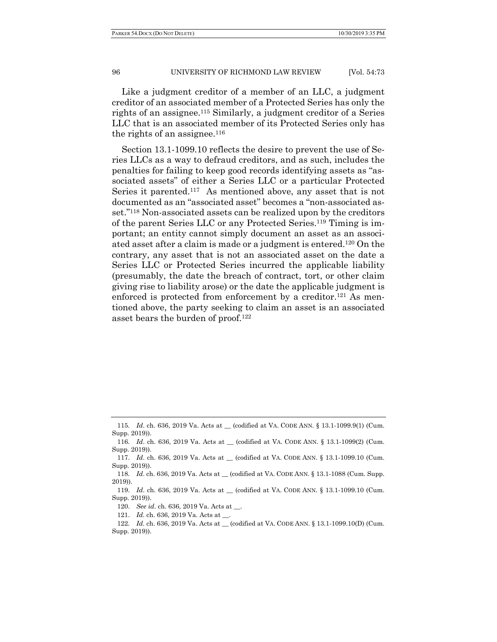Like a judgment creditor of a member of an LLC, a judgment creditor of an associated member of a Protected Series has only the rights of an assignee.115 Similarly, a judgment creditor of a Series LLC that is an associated member of its Protected Series only has the rights of an assignee. $116$ 

Section 13.1-1099.10 reflects the desire to prevent the use of Series LLCs as a way to defraud creditors, and as such, includes the penalties for failing to keep good records identifying assets as "associated assets" of either a Series LLC or a particular Protected Series it parented.117 As mentioned above, any asset that is not documented as an "associated asset" becomes a "non-associated asset."118 Non-associated assets can be realized upon by the creditors of the parent Series LLC or any Protected Series.119 Timing is important; an entity cannot simply document an asset as an associated asset after a claim is made or a judgment is entered.120 On the contrary, any asset that is not an associated asset on the date a Series LLC or Protected Series incurred the applicable liability (presumably, the date the breach of contract, tort, or other claim giving rise to liability arose) or the date the applicable judgment is enforced is protected from enforcement by a creditor.<sup>121</sup> As mentioned above, the party seeking to claim an asset is an associated asset bears the burden of proof.122

116*. Id*. ch. 636, 2019 Va. Acts at \_\_ (codified at VA. CODE ANN. § 13.1-1099(2) (Cum. Supp. 2019)).

121. *Id*. ch. 636, 2019 Va. Acts at \_\_.

<sup>115</sup>*. Id.* ch. 636, 2019 Va. Acts at (codified at VA. CODE ANN. § 13.1-1099.9(1) (Cum. Supp. 2019)).

 <sup>117.</sup> *Id*. ch. 636, 2019 Va. Acts at \_\_ (codified at VA. CODE ANN. § 13.1-1099.10 (Cum. Supp. 2019)).

<sup>118</sup>*. Id*. ch. 636, 2019 Va. Acts at \_\_ (codified at VA. CODE ANN. § 13.1-1088 (Cum. Supp. 2019)).

 <sup>119.</sup> *Id*. ch. 636, 2019 Va. Acts at \_\_ (codified at VA. CODE ANN. § 13.1-1099.10 (Cum. Supp. 2019)).

 <sup>120.</sup> *See id*. ch. 636, 2019 Va. Acts at \_\_.

<sup>122</sup>*. Id*. ch. 636, 2019 Va. Acts at \_\_ (codified at VA. CODE ANN. § 13.1-1099.10(D) (Cum. Supp. 2019)).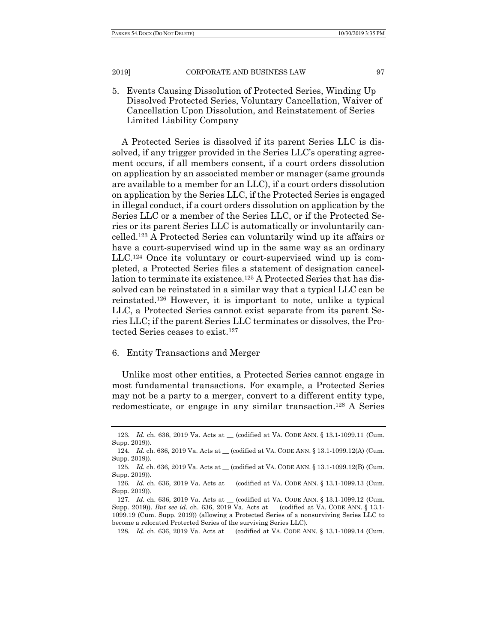5. Events Causing Dissolution of Protected Series, Winding Up Dissolved Protected Series, Voluntary Cancellation, Waiver of Cancellation Upon Dissolution, and Reinstatement of Series Limited Liability Company

A Protected Series is dissolved if its parent Series LLC is dissolved, if any trigger provided in the Series LLC's operating agreement occurs, if all members consent, if a court orders dissolution on application by an associated member or manager (same grounds are available to a member for an LLC), if a court orders dissolution on application by the Series LLC, if the Protected Series is engaged in illegal conduct, if a court orders dissolution on application by the Series LLC or a member of the Series LLC, or if the Protected Series or its parent Series LLC is automatically or involuntarily cancelled.123 A Protected Series can voluntarily wind up its affairs or have a court-supervised wind up in the same way as an ordinary LLC.124 Once its voluntary or court-supervised wind up is completed, a Protected Series files a statement of designation cancellation to terminate its existence.125 A Protected Series that has dissolved can be reinstated in a similar way that a typical LLC can be reinstated.126 However, it is important to note, unlike a typical LLC, a Protected Series cannot exist separate from its parent Series LLC; if the parent Series LLC terminates or dissolves, the Protected Series ceases to exist.127

## 6. Entity Transactions and Merger

Unlike most other entities, a Protected Series cannot engage in most fundamental transactions. For example, a Protected Series may not be a party to a merger, convert to a different entity type, redomesticate, or engage in any similar transaction.128 A Series

<sup>123</sup>*. Id.* ch. 636, 2019 Va. Acts at \_\_ (codified at VA. CODE ANN. § 13.1-1099.11 (Cum. Supp. 2019)).

<sup>124</sup>*. Id.* ch. 636, 2019 Va. Acts at \_\_ (codified at VA. CODE ANN. § 13.1-1099.12(A) (Cum. Supp. 2019)).

<sup>125</sup>*. Id.* ch. 636, 2019 Va. Acts at \_\_ (codified at VA. CODE ANN. § 13.1-1099.12(B) (Cum. Supp. 2019)).

<sup>126</sup>*. Id.* ch. 636, 2019 Va. Acts at \_\_ (codified at VA. CODE ANN. § 13.1-1099.13 (Cum. Supp. 2019)).

<sup>127</sup>*. Id.* ch. 636, 2019 Va. Acts at \_\_ (codified at VA. CODE ANN. § 13.1-1099.12 (Cum. Supp. 2019)). *But see id.* ch. 636, 2019 Va. Acts at \_\_ (codified at VA. CODE ANN. § 13.1- 1099.19 (Cum. Supp. 2019)) (allowing a Protected Series of a nonsurviving Series LLC to become a relocated Protected Series of the surviving Series LLC).

<sup>128</sup>*. Id.* ch. 636, 2019 Va. Acts at \_\_ (codified at VA. CODE ANN. § 13.1-1099.14 (Cum.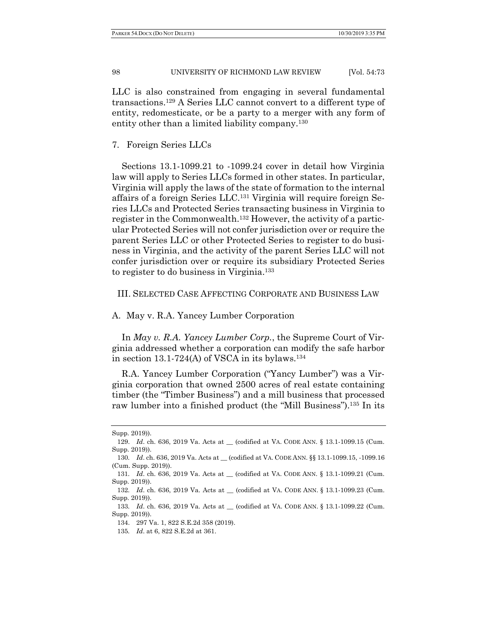LLC is also constrained from engaging in several fundamental transactions.129 A Series LLC cannot convert to a different type of entity, redomesticate, or be a party to a merger with any form of entity other than a limited liability company.<sup>130</sup>

### 7. Foreign Series LLCs

Sections 13.1-1099.21 to -1099.24 cover in detail how Virginia law will apply to Series LLCs formed in other states. In particular, Virginia will apply the laws of the state of formation to the internal affairs of a foreign Series LLC.131 Virginia will require foreign Series LLCs and Protected Series transacting business in Virginia to register in the Commonwealth.132 However, the activity of a particular Protected Series will not confer jurisdiction over or require the parent Series LLC or other Protected Series to register to do business in Virginia, and the activity of the parent Series LLC will not confer jurisdiction over or require its subsidiary Protected Series to register to do business in Virginia.133

## III. SELECTED CASE AFFECTING CORPORATE AND BUSINESS LAW

## A. May v. R.A. Yancey Lumber Corporation

In *May v. R.A. Yancey Lumber Corp.*, the Supreme Court of Virginia addressed whether a corporation can modify the safe harbor in section 13.1-724(A) of VSCA in its bylaws.<sup>134</sup>

R.A. Yancey Lumber Corporation ("Yancy Lumber") was a Virginia corporation that owned 2500 acres of real estate containing timber (the "Timber Business") and a mill business that processed raw lumber into a finished product (the "Mill Business").135 In its

Supp. 2019)).

<sup>129.</sup> *Id.* ch. 636, 2019 Va. Acts at \_\_ (codified at VA. CODE ANN. § 13.1-1099.15 (Cum. Supp. 2019)).

<sup>130</sup>*. Id*. ch. 636, 2019 Va. Acts at \_\_ (codified at VA. CODE ANN. §§ 13.1-1099.15, -1099.16 (Cum. Supp. 2019)).

<sup>131</sup>*. Id.* ch. 636, 2019 Va. Acts at \_\_ (codified at VA. CODE ANN. § 13.1-1099.21 (Cum. Supp. 2019)).

<sup>132</sup>*. Id.* ch. 636, 2019 Va. Acts at \_\_ (codified at VA. CODE ANN. § 13.1-1099.23 (Cum. Supp. 2019)).

<sup>133</sup>*. Id*. ch. 636, 2019 Va. Acts at \_\_ (codified at VA. CODE ANN. § 13.1-1099.22 (Cum. Supp. 2019)).

 <sup>134. 297</sup> Va. 1, 822 S.E.2d 358 (2019).

<sup>135</sup>*. Id*. at 6, 822 S.E.2d at 361.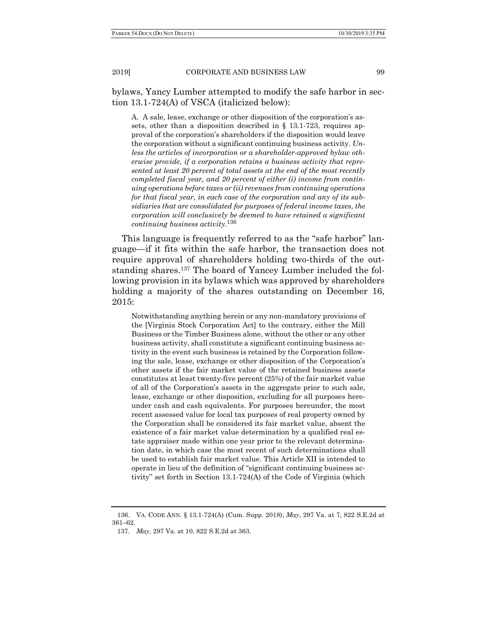bylaws, Yancy Lumber attempted to modify the safe harbor in section 13.1-724(A) of VSCA (italicized below):

A. A sale, lease, exchange or other disposition of the corporation's assets, other than a disposition described in § 13.1-723, requires approval of the corporation's shareholders if the disposition would leave the corporation without a significant continuing business activity. *Unless the articles of incorporation or a shareholder-approved bylaw otherwise provide, if a corporation retains a business activity that represented at least 20 percent of total assets at the end of the most recently completed fiscal year, and 20 percent of either (i) income from continuing operations before taxes or (ii) revenues from continuing operations for that fiscal year, in each case of the corporation and any of its subsidiaries that are consolidated for purposes of federal income taxes, the corporation will conclusively be deemed to have retained a significant continuing business activity*. 136

This language is frequently referred to as the "safe harbor" language—if it fits within the safe harbor, the transaction does not require approval of shareholders holding two-thirds of the outstanding shares.137 The board of Yancey Lumber included the following provision in its bylaws which was approved by shareholders holding a majority of the shares outstanding on December 16, 2015:

Notwithstanding anything herein or any non-mandatory provisions of the [Virginia Stock Corporation Act] to the contrary, either the Mill Business or the Timber Business alone, without the other or any other business activity, shall constitute a significant continuing business activity in the event such business is retained by the Corporation following the sale, lease, exchange or other disposition of the Corporation's other assets if the fair market value of the retained business assets constitutes at least twenty-five percent (25%) of the fair market value of all of the Corporation's assets in the aggregate prior to such sale, lease, exchange or other disposition, excluding for all purposes hereunder cash and cash equivalents. For purposes hereunder, the most recent assessed value for local tax purposes of real property owned by the Corporation shall be considered its fair market value, absent the existence of a fair market value determination by a qualified real estate appraiser made within one year prior to the relevant determination date, in which case the most recent of such determinations shall be used to establish fair market value. This Article XII is intended to operate in lieu of the definition of "significant continuing business activity" set forth in Section 13.1-724(A) of the Code of Virginia (which

 <sup>136.</sup> VA. CODE ANN. § 13.1-724(A) (Cum. Supp. 2018); *May*, 297 Va. at 7, 822 S.E.2d at 361–62.

 <sup>137.</sup> *May*, 297 Va. at 10, 822 S.E.2d at 363.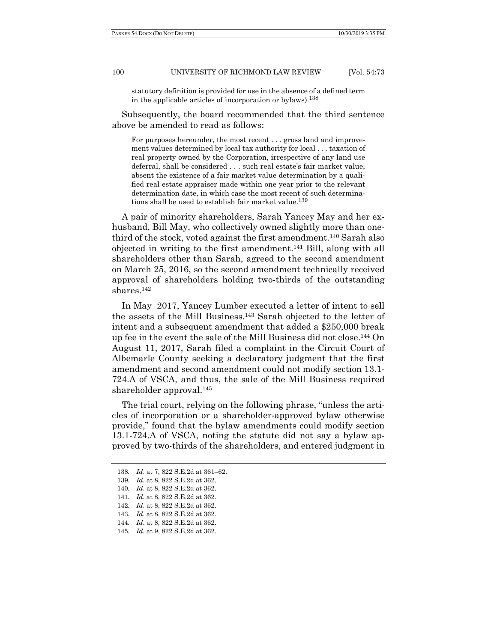statutory definition is provided for use in the absence of a defined term in the applicable articles of incorporation or bylaws).138

Subsequently, the board recommended that the third sentence above be amended to read as follows:

For purposes hereunder, the most recent . . . gross land and improvement values determined by local tax authority for local . . . taxation of real property owned by the Corporation, irrespective of any land use deferral, shall be considered . . . such real estate's fair market value, absent the existence of a fair market value determination by a qualified real estate appraiser made within one year prior to the relevant determination date, in which case the most recent of such determinations shall be used to establish fair market value.<sup>139</sup>

A pair of minority shareholders, Sarah Yancey May and her exhusband, Bill May, who collectively owned slightly more than onethird of the stock, voted against the first amendment.140 Sarah also objected in writing to the first amendment.141 Bill, along with all shareholders other than Sarah, agreed to the second amendment on March 25, 2016, so the second amendment technically received approval of shareholders holding two-thirds of the outstanding shares.142

In May 2017, Yancey Lumber executed a letter of intent to sell the assets of the Mill Business.143 Sarah objected to the letter of intent and a subsequent amendment that added a \$250,000 break up fee in the event the sale of the Mill Business did not close.144 On August 11, 2017, Sarah filed a complaint in the Circuit Court of Albemarle County seeking a declaratory judgment that the first amendment and second amendment could not modify section 13.1- 724.A of VSCA, and thus, the sale of the Mill Business required shareholder approval.145

The trial court, relying on the following phrase, "unless the articles of incorporation or a shareholder-approved bylaw otherwise provide," found that the bylaw amendments could modify section 13.1-724.A of VSCA, noting the statute did not say a bylaw approved by two-thirds of the shareholders, and entered judgment in

<sup>138</sup>*. Id*. at 7, 822 S.E.2d at 361–62.

<sup>139</sup>*. Id*. at 8, 822 S.E.2d at 362.

<sup>140</sup>*. Id*. at 8, 822 S.E.2d at 362.

<sup>141</sup>*. Id*. at 8, 822 S.E.2d at 362.

<sup>142</sup>*. Id*. at 8, 822 S.E.2d at 362.

<sup>143</sup>*. Id*. at 8, 822 S.E.2d at 362.

<sup>144</sup>*. Id*. at 8, 822 S.E.2d at 362.

<sup>145</sup>*. Id*. at 9, 822 S.E.2d at 362.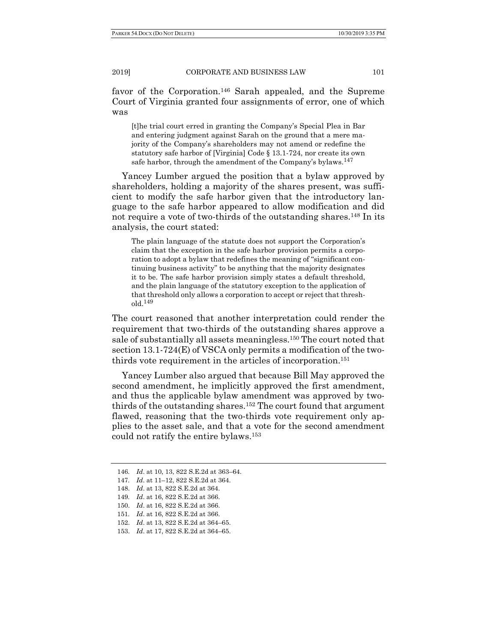favor of the Corporation.<sup>146</sup> Sarah appealed, and the Supreme Court of Virginia granted four assignments of error, one of which was

[t]he trial court erred in granting the Company's Special Plea in Bar and entering judgment against Sarah on the ground that a mere majority of the Company's shareholders may not amend or redefine the statutory safe harbor of [Virginia] Code § 13.1-724, nor create its own safe harbor, through the amendment of the Company's bylaws.  $^{147}$ 

Yancey Lumber argued the position that a bylaw approved by shareholders, holding a majority of the shares present, was sufficient to modify the safe harbor given that the introductory language to the safe harbor appeared to allow modification and did not require a vote of two-thirds of the outstanding shares.<sup>148</sup> In its analysis, the court stated:

The plain language of the statute does not support the Corporation's claim that the exception in the safe harbor provision permits a corporation to adopt a bylaw that redefines the meaning of "significant continuing business activity" to be anything that the majority designates it to be. The safe harbor provision simply states a default threshold, and the plain language of the statutory exception to the application of that threshold only allows a corporation to accept or reject that threshold.149

The court reasoned that another interpretation could render the requirement that two-thirds of the outstanding shares approve a sale of substantially all assets meaningless.150 The court noted that section 13.1-724(E) of VSCA only permits a modification of the twothirds vote requirement in the articles of incorporation.151

Yancey Lumber also argued that because Bill May approved the second amendment, he implicitly approved the first amendment, and thus the applicable bylaw amendment was approved by twothirds of the outstanding shares.152 The court found that argument flawed, reasoning that the two-thirds vote requirement only applies to the asset sale, and that a vote for the second amendment could not ratify the entire bylaws.153

<sup>146</sup>*. Id*. at 10, 13, 822 S.E.2d at 363–64.

<sup>147</sup>*. Id*. at 11–12, 822 S.E.2d at 364.

 <sup>148.</sup> *Id*. at 13, 822 S.E.2d at 364.

<sup>149</sup>*. Id*. at 16, 822 S.E.2d at 366.

 <sup>150.</sup> *Id*. at 16, 822 S.E.2d at 366.

<sup>151</sup>*. Id*. at 16, 822 S.E.2d at 366.

 <sup>152.</sup> *Id*. at 13, 822 S.E.2d at 364–65.

 <sup>153.</sup> *Id*. at 17, 822 S.E.2d at 364–65.